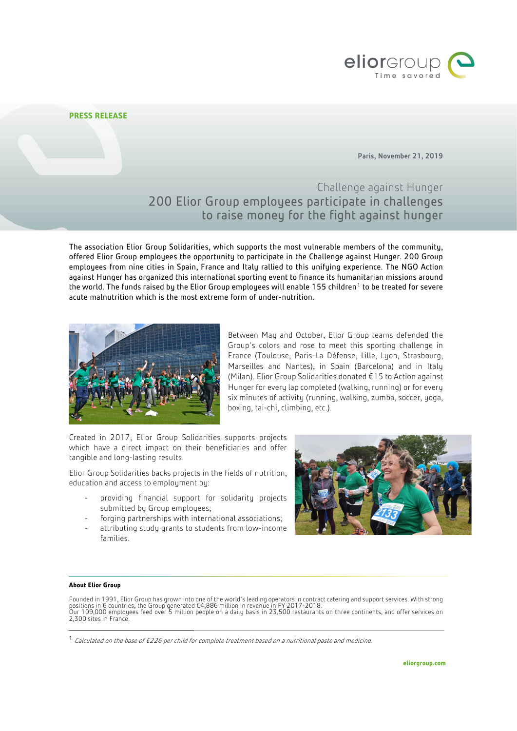

## **PRESS RELEASE**

Paris, November 21, 2019

Challenge against Hunger 200 Elior Group employees participate in challenges to raise money for the fight against hunger

The association Elior Group Solidarities, which supports the most vulnerable members of the community, offered Elior Group employees the opportunity to participate in the Challenge against Hunger. 200 Group employees from nine cities in Spain, France and Italy rallied to this unifying experience. The NGO Action against Hunger has organized this international sporting event to finance its humanitarian missions around the world. The funds raised by the Elior Group employees will enable [1](#page-0-0)55 children<sup>1</sup> to be treated for severe acute malnutrition which is the most extreme form of under-nutrition.



Between May and October, Elior Group teams defended the Group's colors and rose to meet this sporting challenge in France (Toulouse, Paris-La Défense, Lille, Lyon, Strasbourg, Marseilles and Nantes), in Spain (Barcelona) and in Italy (Milan). Elior Group Solidarities donated €15 to Action against Hunger for every lap completed (walking, running) or for every six minutes of activity (running, walking, zumba, soccer, yoga, boxing, tai-chi, climbing, etc.).

Created in 2017, Elior Group Solidarities supports projects which have a direct impact on their beneficiaries and offer tangible and long-lasting results.

Elior Group Solidarities backs projects in the fields of nutrition, education and access to employment by:

- providing financial support for solidarity projects submitted by Group employees;
- forging partnerships with international associations;
- attributing study grants to students from low-income families.



## **About Elior Group**

Founded in 1991, Elior Group has grown into one of the world's leading operators in contract catering and support services. With strong positions in 6 countries, the Group generated €4,886 million in revenue in FY 2017-2018.<br>Our 109,000 employees feed over 5 million people on a daily basis in 23,500 restaurants on three continents, and offer services on<br>2

<span id="page-0-0"></span> <sup>1</sup> Calculated on the base of €226 per child for complete treatment based on a nutritional paste and medicine.